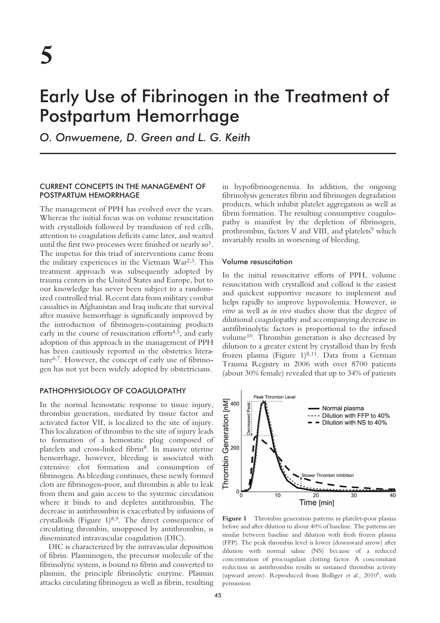# Early Use of Fibrinogen in the Treatment of Postpartum Hemorrhage

*O. Onwuemene, D. Green and L. G. Keith*

# CURRENT CONCEPTS IN THE MANAGEMENT OF POSTPARTUM HEMORRHAGE

The management of PPH has evolved over the years. Whereas the initial focus was on volume resuscitation with crystalloids followed by transfusion of red cells, attention to coagulation deficits came later, and waited until the first two processes were finished or nearly  $\mathrm{so}^1$ . The impetus for this triad of interventions came from the military experiences in the Vietnam War2,3. This treatment approach was subsequently adopted by trauma centers in the United States and Europe, but to our knowledge has never been subject to a randomized controlled trial. Recent data from military combat casualties in Afghanistan and Iraq indicate that survival after massive hemorrhage is significantly improved by the introduction of fibrinogen-containing products early in the course of resuscitation efforts<sup>4,5</sup>, and early adoption of this approach in the management of PPH has been cautiously reported in the obstetrics literature6,7. However, the concept of early use of fibrinogen has not yet been widely adopted by obstetricians.

# PATHOPHYSIOLOGY OF COAGULOPATHY

In the normal hemostatic response to tissue injury, thrombin generation, mediated by tissue factor and activated factor VII, is localized to the site of injury. This localization of thrombin to the site of injury leads to formation of a hemostatic plug composed of platelets and cross-linked fibrin8. In massive uterine hemorrhage, however, bleeding is associated with extensive clot formation and consumption of fibrinogen. As bleeding continues, these newly formed clots are fibrinogen-poor, and thrombin is able to leak from them and gain access to the systemic circulation where it binds to and depletes antithrombin. The decrease in antithrombin is exacerbated by infusions of crystalloids (Figure  $1)^{8,9}$ . The direct consequence of circulating thrombin, unopposed by antithrombin, is disseminated intravascular coagulation (DIC).

DIC is characterized by the intravascular deposition of fibrin. Plasminogen, the precursor molecule of the fibrinolytic system, is bound to fibrin and converted to plasmin, the principle fibrinolytic enzyme. Plasmin attacks circulating fibrinogen as well as fibrin, resulting in hypofibrinogenemia. In addition, the ongoing fibrinolysis generates fibrin and fibrinogen degradation products, which inhibit platelet aggregation as well as fibrin formation. The resulting consumptive coagulopathy is manifest by the depletion of fibrinogen, prothrombin, factors V and VIII, and platelets<sup>9</sup> which invariably results in worsening of bleeding.

#### Volume resuscitation

In the initial resuscitative efforts of PPH, volume resuscitation with crystalloid and colloid is the easiest and quickest supportive measure to implement and helps rapidly to improve hypovolemia. However, *in vitro* as well as *in vivo* studies show that the degree of dilutional coagulopathy and accompanying decrease in antifibrinolytic factors is proportional to the infused volume10. Thrombin generation is also decreased by dilution to a greater extent by crystalloid than by fresh frozen plasma (Figure 1) $^{8,11}$ . Data from a German Trauma Registry in 2006 with over 8700 patients (about 30% female) revealed that up to 34% of patients



Figure 1 Thrombin generation patterns in platelet-poor plasma before and after dilution to about 40% of baseline. The patterns are similar between baseline and dilution with fresh frozen plasma (FFP). The peak thrombin level is lower (downward arrow) after dilution with normal saline (NS) because of a reduced concentration of procoagulant clotting factor. A concomitant reduction in antithrombin results in sustained thrombin activity (upward arrow). Reproduced from Bolliger *et al*., 20108 , with permission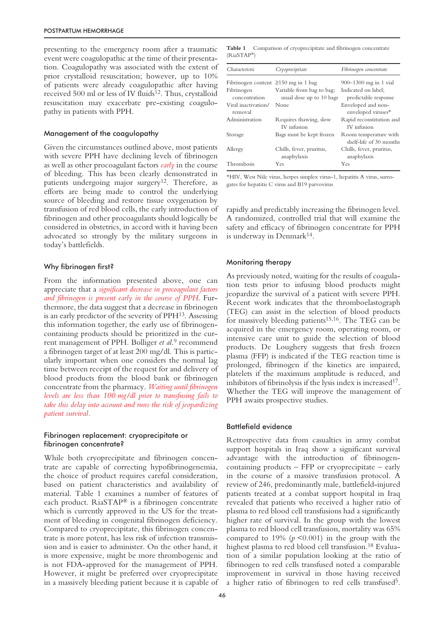presenting to the emergency room after a traumatic event were coagulopathic at the time of their presentation. Coagulopathy was associated with the extent of prior crystalloid resuscitation; however, up to 10% of patients were already coagulopathic after having received 500 ml or less of IV fluids<sup>12</sup>. Thus, crystalloid resuscitation may exacerbate pre-existing coagulopathy in patients with PPH.

# Management of the coagulopathy

Given the circumstances outlined above, most patients with severe PPH have declining levels of fibrinogen as well as other procoagulant factors *early* in the course of bleeding. This has been clearly demonstrated in patients undergoing major surgery<sup>12</sup>. Therefore, as efforts are being made to control the underlying source of bleeding and restore tissue oxygenation by transfusion of red blood cells, the early introduction of fibrinogen and other procoagulants should logically be considered in obstetrics, in accord with it having been advocated so strongly by the military surgeons in today's battlefields.

#### Why fibrinogen first?

From the information presented above, one can appreciate that a *significant decrease in procoagulant factors and fibrinogen is present early in the course of PPH*. Furthermore, the data suggest that a decrease in fibrinogen is an early predictor of the severity of PPH13. Assessing this information together, the early use of fibrinogencontaining products should be prioritized in the current management of PPH. Bolliger *et al*. <sup>9</sup> recommend a fibrinogen target of at least 200 mg/dl. This is particularly important when one considers the normal lag time between receipt of the request for and delivery of blood products from the blood bank or fibrinogen concentrate from the pharmacy. *Waiting until fibrinogen levels are less than 100 mg/dl prior to transfusing fails to take this delay into account and runs the risk of jeopardizing patient survival.*

### Fibrinogen replacement: cryoprecipitate or fibrinogen concentrate?

While both cryoprecipitate and fibrinogen concentrate are capable of correcting hypofibrinogenemia, the choice of product requires careful consideration, based on patient characteristics and availability of material. Table 1 examines a number of features of each product. RiaSTAP® is a fibrinogen concentrate which is currently approved in the US for the treatment of bleeding in congenital fibrinogen deficiency. Compared to cryoprecipitate, this fibrinogen concentrate is more potent, has less risk of infection transmission and is easier to administer. On the other hand, it is more expensive, might be more thrombogenic and is not FDA-approved for the management of PPH. However, it might be preferred over cryoprecipitate in a massively bleeding patient because it is capable of

**Table 1** Comparison of cryoprecipitate and fibrinogen concentrate (RiaSTAP®)

| Characteristic                            | Cryoprecipitate                                       | Fibrinogen concentrate                           |
|-------------------------------------------|-------------------------------------------------------|--------------------------------------------------|
| Fibrinogen content $\geq 150$ mg in 1 bag |                                                       | $900 - 1300$ mg in 1 vial                        |
| Fibrinogen<br>concentration               | Variable from bag to bag;<br>usual dose up to 10 bags | Indicated on label:<br>predictable response      |
| Viral inactivation/<br>removal            | None                                                  | Enveloped and non-<br>enveloped viruses*         |
| Administration                            | Requires thawing, slow<br>IV infusion                 | Rapid reconstitution and<br>IV infusion          |
| Storage                                   | Bags must be kept frozen                              | Room temperature with<br>shelf-life of 30 months |
| Allergy                                   | Chills, fever, pruritus,<br>anaphylaxis               | Chills, fever, pruritus,<br>anaphylaxis          |
| Thrombosis                                | Yes                                                   | Yes                                              |

\*HIV, West Nile virus, herpes simplex virus-1, hepatitis A virus, surrogates for hepatitis C virus and B19 parvovirus

rapidly and predictably increasing the fibrinogen level. A randomized, controlled trial that will examine the safety and efficacy of fibrinogen concentrate for PPH is underway in Denmark<sup>14</sup>.

# Monitoring therapy

As previously noted, waiting for the results of coagulation tests prior to infusing blood products might jeopardize the survival of a patient with severe PPH. Recent work indicates that the thromboelastograph (TEG) can assist in the selection of blood products for massively bleeding patients15,16. The TEG can be acquired in the emergency room, operating room, or intensive care unit to guide the selection of blood products. De Loughery suggests that fresh frozen plasma (FFP) is indicated if the TEG reaction time is prolonged, fibrinogen if the kinetics are impaired, platelets if the maximum amplitude is reduced, and inhibitors of fibrinolysis if the lysis index is increased<sup>17</sup>. Whether the TEG will improve the management of PPH awaits prospective studies.

#### Battlefield evidence

Retrospective data from casualties in army combat support hospitals in Iraq show a significant survival advantage with the introduction of fibrinogencontaining products – FFP or cryoprecipitate – early in the course of a massive transfusion protocol. A review of 246, predominantly male, battlefield-injured patients treated at a combat support hospital in Iraq revealed that patients who received a higher ratio of plasma to red blood cell transfusions had a significantly higher rate of survival. In the group with the lowest plasma to red blood cell transfusion, mortality was 65% compared to 19%  $(p \le 0.001)$  in the group with the highest plasma to red blood cell transfusion.<sup>18</sup> Evaluation of a similar population looking at the ratio of fibrinogen to red cells transfused noted a comparable improvement in survival in those having received a higher ratio of fibrinogen to red cells transfused5.